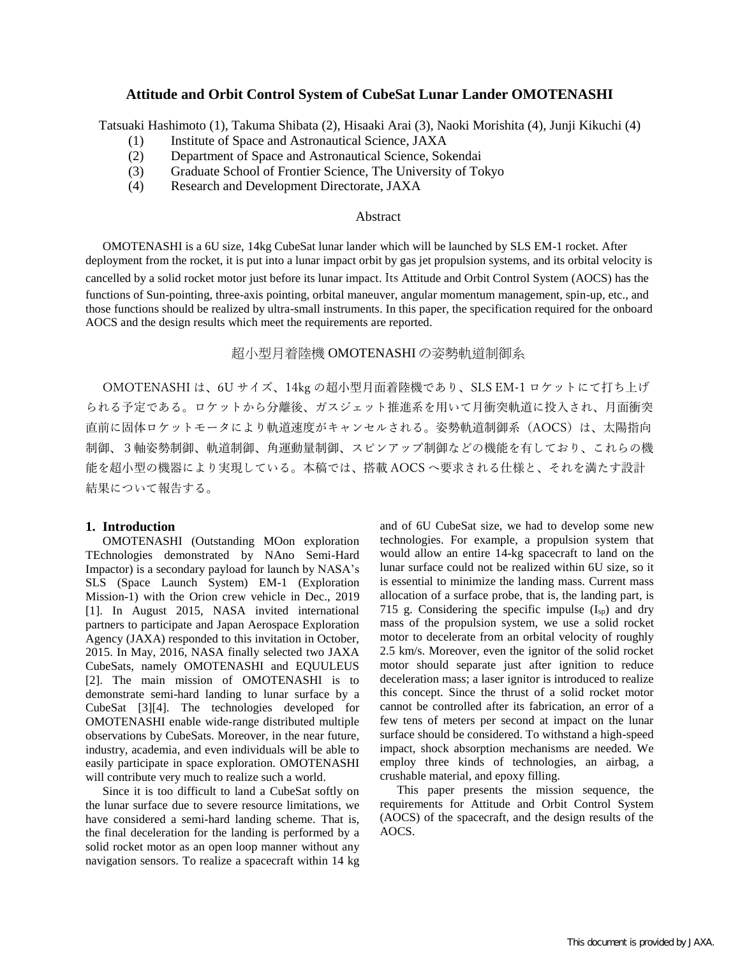# **Attitude and Orbit Control System of CubeSat Lunar Lander OMOTENASHI**

Tatsuaki Hashimoto (1), Takuma Shibata (2), Hisaaki Arai (3), Naoki Morishita (4), Junji Kikuchi (4)

- (1) Institute of Space and Astronautical Science, JAXA
- (2) Department of Space and Astronautical Science, Sokendai
- (3) Graduate School of Frontier Science, The University of Tokyo
- (4) Research and Development Directorate, JAXA

#### Abstract

OMOTENASHI is a 6U size, 14kg CubeSat lunar lander which will be launched by SLS EM-1 rocket. After deployment from the rocket, it is put into a lunar impact orbit by gas jet propulsion systems, and its orbital velocity is cancelled by a solid rocket motor just before its lunar impact. Its Attitude and Orbit Control System (AOCS) has the functions of Sun-pointing, three-axis pointing, orbital maneuver, angular momentum management, spin-up, etc., and those functions should be realized by ultra-small instruments. In this paper, the specification required for the onboard AOCS and the design results which meet the requirements are reported.

# 超小型月着陸機 OMOTENASHI の姿勢軌道制御系

OMOTENASHI は、6U サイズ、14kg の超小型月面着陸機であり、SLS EM-1 ロケットにて打ち上げ られる予定である。ロケットから分離後、ガスジェット推進系を用いて月衝突軌道に投入され、月面衝突 直前に固体ロケットモータにより軌道速度がキャンセルされる。姿勢軌道制御系(AOCS)は、太陽指向 制御、3軸姿勢制御、軌道制御、角運動量制御、スピンアップ制御などの機能を有しており、これらの機 能を超小型の機器により実現している。本稿では、搭載 AOCS へ要求される仕様と、それを満たす設計 結果について報告する。

#### **1. Introduction**

OMOTENASHI (Outstanding MOon exploration TEchnologies demonstrated by NAno Semi-Hard Impactor) is a secondary payload for launch by NASA's SLS (Space Launch System) EM-1 (Exploration Mission-1) with the Orion crew vehicle in Dec., 2019 [1]. In August 2015, NASA invited international partners to participate and Japan Aerospace Exploration Agency (JAXA) responded to this invitation in October, 2015. In May, 2016, NASA finally selected two JAXA CubeSats, namely OMOTENASHI and EQUULEUS [2]. The main mission of OMOTENASHI is to demonstrate semi-hard landing to lunar surface by a CubeSat [3][4]. The technologies developed for OMOTENASHI enable wide-range distributed multiple observations by CubeSats. Moreover, in the near future, industry, academia, and even individuals will be able to easily participate in space exploration. OMOTENASHI will contribute very much to realize such a world.

Since it is too difficult to land a CubeSat softly on the lunar surface due to severe resource limitations, we have considered a semi-hard landing scheme. That is, the final deceleration for the landing is performed by a solid rocket motor as an open loop manner without any navigation sensors. To realize a spacecraft within 14 kg and of 6U CubeSat size, we had to develop some new technologies. For example, a propulsion system that would allow an entire 14-kg spacecraft to land on the lunar surface could not be realized within 6U size, so it is essential to minimize the landing mass. Current mass allocation of a surface probe, that is, the landing part, is 715 g. Considering the specific impulse  $(I_{\rm so})$  and dry mass of the propulsion system, we use a solid rocket motor to decelerate from an orbital velocity of roughly 2.5 km/s. Moreover, even the ignitor of the solid rocket motor should separate just after ignition to reduce deceleration mass; a laser ignitor is introduced to realize this concept. Since the thrust of a solid rocket motor cannot be controlled after its fabrication, an error of a few tens of meters per second at impact on the lunar surface should be considered. To withstand a high-speed impact, shock absorption mechanisms are needed. We employ three kinds of technologies, an airbag, a crushable material, and epoxy filling.

This paper presents the mission sequence, the requirements for Attitude and Orbit Control System (AOCS) of the spacecraft, and the design results of the AOCS.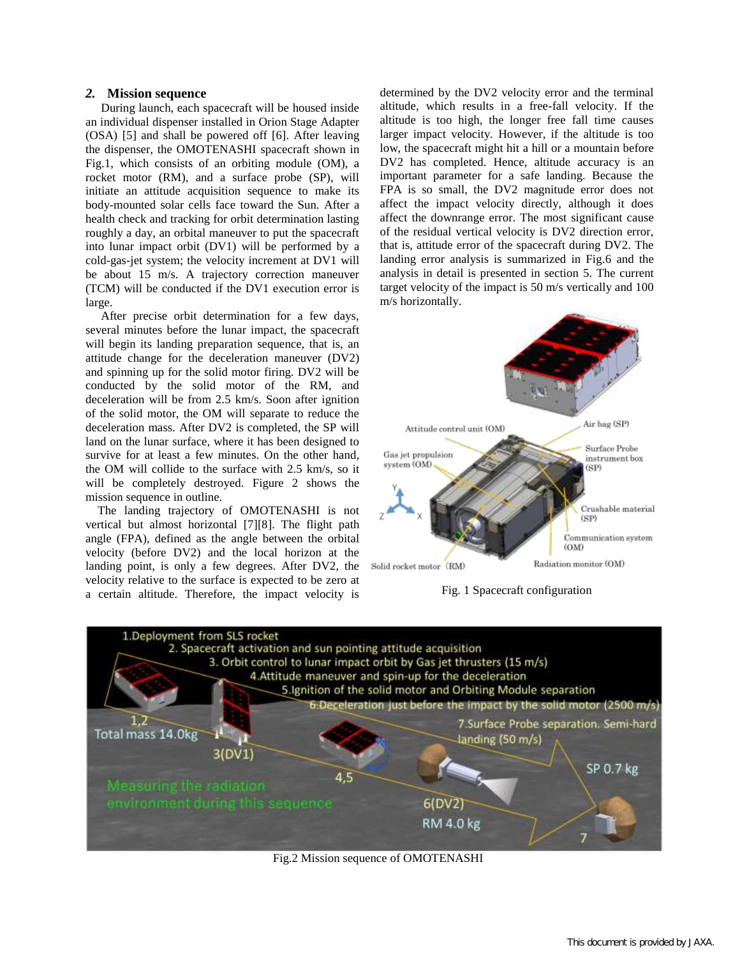### *2.* **Mission sequence**

During launch, each spacecraft will be housed inside an individual dispenser installed in Orion Stage Adapter (OSA) [5] and shall be powered off [6]. After leaving the dispenser, the OMOTENASHI spacecraft shown in Fig.1, which consists of an orbiting module (OM), a rocket motor (RM), and a surface probe (SP), will initiate an attitude acquisition sequence to make its body-mounted solar cells face toward the Sun. After a health check and tracking for orbit determination lasting roughly a day, an orbital maneuver to put the spacecraft into lunar impact orbit (DV1) will be performed by a cold-gas-jet system; the velocity increment at DV1 will be about 15 m/s. A trajectory correction maneuver (TCM) will be conducted if the DV1 execution error is large.

After precise orbit determination for a few days, several minutes before the lunar impact, the spacecraft will begin its landing preparation sequence, that is, an attitude change for the deceleration maneuver (DV2) and spinning up for the solid motor firing. DV2 will be conducted by the solid motor of the RM, and deceleration will be from 2.5 km/s. Soon after ignition of the solid motor, the OM will separate to reduce the deceleration mass. After DV2 is completed, the SP will land on the lunar surface, where it has been designed to survive for at least a few minutes. On the other hand, the OM will collide to the surface with 2.5 km/s, so it will be completely destroyed. Figure 2 shows the mission sequence in outline.

The landing trajectory of OMOTENASHI is not vertical but almost horizontal [7][8]. The flight path angle (FPA), defined as the angle between the orbital velocity (before DV2) and the local horizon at the landing point, is only a few degrees. After DV2, the velocity relative to the surface is expected to be zero at a certain altitude. Therefore, the impact velocity is

determined by the DV2 velocity error and the terminal altitude, which results in a free-fall velocity. If the altitude is too high, the longer free fall time causes larger impact velocity. However, if the altitude is too low, the spacecraft might hit a hill or a mountain before DV2 has completed. Hence, altitude accuracy is an important parameter for a safe landing. Because the FPA is so small, the DV2 magnitude error does not affect the impact velocity directly, although it does affect the downrange error. The most significant cause of the residual vertical velocity is DV2 direction error, that is, attitude error of the spacecraft during DV2. The landing error analysis is summarized in Fig.6 and the analysis in detail is presented in section 5. The current target velocity of the impact is 50 m/s vertically and 100 m/s horizontally.







Fig.2 Mission sequence of OMOTENASHI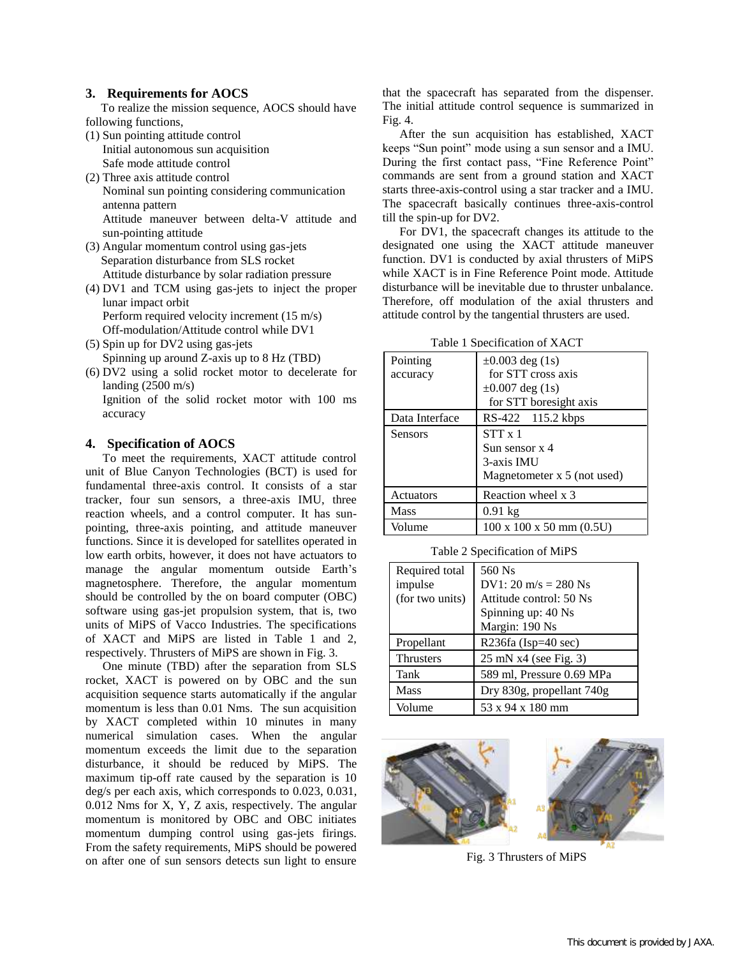### **3. Requirements for AOCS**

To realize the mission sequence, AOCS should have following functions,

- (1) Sun pointing attitude control Initial autonomous sun acquisition Safe mode attitude control
- (2) Three axis attitude control Nominal sun pointing considering communication antenna pattern Attitude maneuver between delta-V attitude and sun-pointing attitude
- (3) Angular momentum control using gas-jets Separation disturbance from SLS rocket Attitude disturbance by solar radiation pressure
- (4) DV1 and TCM using gas-jets to inject the proper lunar impact orbit Perform required velocity increment (15 m/s) Off-modulation/Attitude control while DV1
- (5) Spin up for DV2 using gas-jets Spinning up around Z-axis up to 8 Hz (TBD)
- (6) DV2 using a solid rocket motor to decelerate for landing  $(2500 \text{ m/s})$ 
	- Ignition of the solid rocket motor with 100 ms accuracy

#### **4. Specification of AOCS**

To meet the requirements, XACT attitude control unit of Blue Canyon Technologies (BCT) is used for fundamental three-axis control. It consists of a star tracker, four sun sensors, a three-axis IMU, three reaction wheels, and a control computer. It has sunpointing, three-axis pointing, and attitude maneuver functions. Since it is developed for satellites operated in low earth orbits, however, it does not have actuators to manage the angular momentum outside Earth's magnetosphere. Therefore, the angular momentum should be controlled by the on board computer (OBC) software using gas-jet propulsion system, that is, two units of MiPS of Vacco Industries. The specifications of XACT and MiPS are listed in Table 1 and 2, respectively. Thrusters of MiPS are shown in Fig. 3.

One minute (TBD) after the separation from SLS rocket, XACT is powered on by OBC and the sun acquisition sequence starts automatically if the angular momentum is less than 0.01 Nms. The sun acquisition by XACT completed within 10 minutes in many numerical simulation cases. When the angular momentum exceeds the limit due to the separation disturbance, it should be reduced by MiPS. The maximum tip-off rate caused by the separation is 10 deg/s per each axis, which corresponds to 0.023, 0.031, 0.012 Nms for X, Y, Z axis, respectively. The angular momentum is monitored by OBC and OBC initiates momentum dumping control using gas-jets firings. From the safety requirements, MiPS should be powered on after one of sun sensors detects sun light to ensure

that the spacecraft has separated from the dispenser. The initial attitude control sequence is summarized in Fig. 4.

After the sun acquisition has established, XACT keeps "Sun point" mode using a sun sensor and a IMU. During the first contact pass, "Fine Reference Point" commands are sent from a ground station and XACT starts three-axis-control using a star tracker and a IMU. The spacecraft basically continues three-axis-control till the spin-up for DV2.

For DV1, the spacecraft changes its attitude to the designated one using the XACT attitude maneuver function. DV1 is conducted by axial thrusters of MiPS while XACT is in Fine Reference Point mode. Attitude disturbance will be inevitable due to thruster unbalance. Therefore, off modulation of the axial thrusters and attitude control by the tangential thrusters are used.

Table 1 Specification of XACT

| 0000011 01 212 1     |                                                                                              |  |  |  |  |  |
|----------------------|----------------------------------------------------------------------------------------------|--|--|--|--|--|
| Pointing<br>accuracy | $\pm 0.003$ deg (1s)<br>for STT cross axis<br>$\pm 0.007$ deg (1s)<br>for STT boresight axis |  |  |  |  |  |
| Data Interface       | RS-422 115.2 kbps                                                                            |  |  |  |  |  |
| <b>Sensors</b>       | $STT \times 1$<br>Sun sensor x 4<br>3-axis IMU<br>Magnetometer x 5 (not used)                |  |  |  |  |  |
| Actuators            | Reaction wheel x 3                                                                           |  |  |  |  |  |
| <b>Mass</b>          | $0.91$ kg                                                                                    |  |  |  |  |  |
| Volume               | $100 \times 100 \times 50 \text{ mm}$ (0.5U)                                                 |  |  |  |  |  |

Table 2 Specification of MiPS

| Required total   | 560 Ns                    |  |  |  |  |
|------------------|---------------------------|--|--|--|--|
| impulse          | $DV1: 20 m/s = 280 Ns$    |  |  |  |  |
| (for two units)  | Attitude control: 50 Ns   |  |  |  |  |
|                  | Spinning up: 40 Ns        |  |  |  |  |
|                  | Margin: 190 Ns            |  |  |  |  |
| Propellant       | R236fa (Isp=40 sec)       |  |  |  |  |
| <b>Thrusters</b> | $25$ mN $x4$ (see Fig. 3) |  |  |  |  |
| Tank             | 589 ml, Pressure 0.69 MPa |  |  |  |  |
| <b>Mass</b>      | Dry 830g, propellant 740g |  |  |  |  |
|                  | 53 x 94 x 180 mm          |  |  |  |  |



Fig. 3 Thrusters of MiPS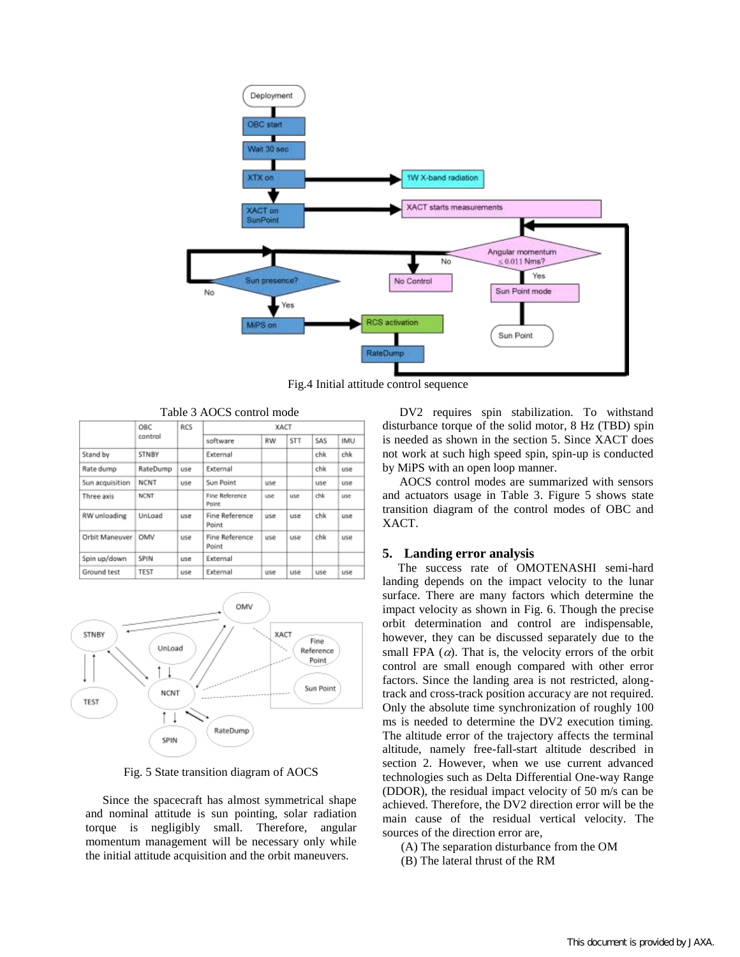

Fig.4 Initial attitude control sequence

|                 | OBC<br>control | <b>RCS</b> | XACT                    |           |            |     |            |
|-----------------|----------------|------------|-------------------------|-----------|------------|-----|------------|
|                 |                |            | software                | <b>RW</b> | <b>STT</b> | SAS | <b>IMU</b> |
| Stand by        | STNBY          |            | External                |           |            | chk | chk        |
| Rate dump       | RateDump       | use        | External                |           |            | chk | use        |
| Sun acquisition | NCNT           | use        | Sun Point               | use       |            | use | use        |
| Three axis      | <b>NCNT</b>    |            | Fine Reference<br>Point | use       | use        | chk | use        |
| RW unloading    | UnLoad         | use        | Fine Reference<br>Point | use       | use        | chk | use        |
| Orbit Maneuver  | OMV            | use        | Fine Reference<br>Point | use       | use        | chk | use        |
| Spin up/down    | SPIN           | use        | External                |           |            |     |            |
| Ground test     | <b>TEST</b>    | use        | External                | use       | use        | use | use        |

Table 3 AOCS control mode



Fig. 5 State transition diagram of AOCS

Since the spacecraft has almost symmetrical shape and nominal attitude is sun pointing, solar radiation torque is negligibly small. Therefore, angular momentum management will be necessary only while the initial attitude acquisition and the orbit maneuvers.

DV2 requires spin stabilization. To withstand disturbance torque of the solid motor, 8 Hz (TBD) spin is needed as shown in the section 5. Since XACT does not work at such high speed spin, spin-up is conducted by MiPS with an open loop manner.

AOCS control modes are summarized with sensors and actuators usage in Table 3. Figure 5 shows state transition diagram of the control modes of OBC and XACT.

#### **5. Landing error analysis**

The success rate of OMOTENASHI semi-hard landing depends on the impact velocity to the lunar surface. There are many factors which determine the impact velocity as shown in Fig. 6. Though the precise orbit determination and control are indispensable, however, they can be discussed separately due to the small FPA  $(\alpha)$ . That is, the velocity errors of the orbit control are small enough compared with other error factors. Since the landing area is not restricted, alongtrack and cross-track position accuracy are not required. Only the absolute time synchronization of roughly 100 ms is needed to determine the DV2 execution timing. The altitude error of the trajectory affects the terminal altitude, namely free-fall-start altitude described in section 2. However, when we use current advanced technologies such as Delta Differential One-way Range (DDOR), the residual impact velocity of 50 m/s can be achieved. Therefore, the DV2 direction error will be the main cause of the residual vertical velocity. The sources of the direction error are,

- (A) The separation disturbance from the OM
- (B) The lateral thrust of the RM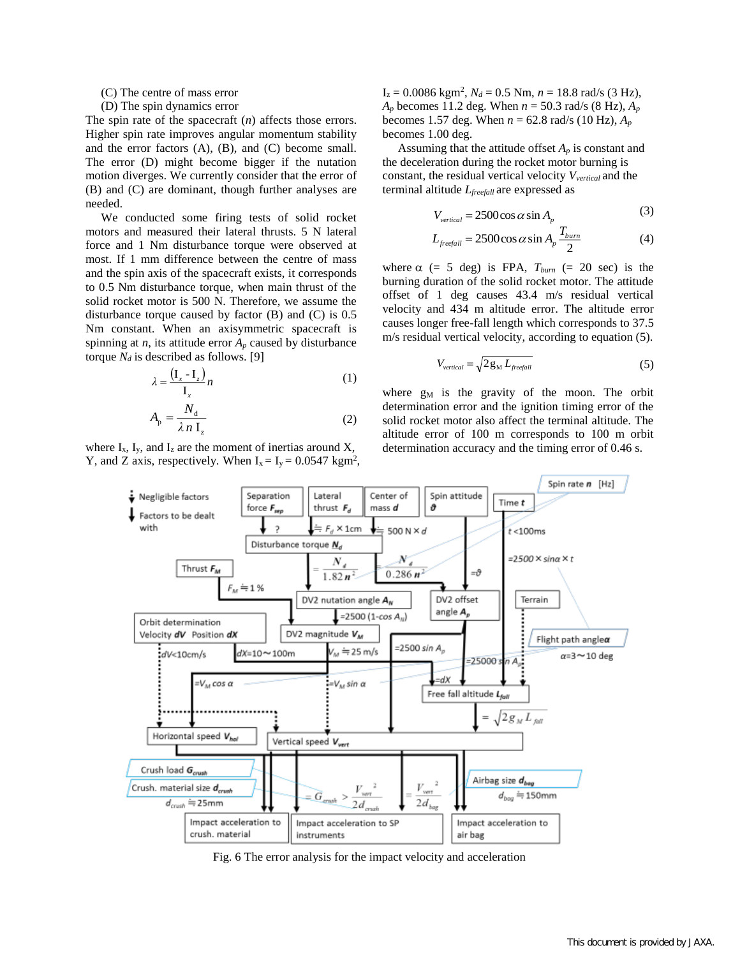(C) The centre of mass error

(D) The spin dynamics error

The spin rate of the spacecraft (*n*) affects those errors. Higher spin rate improves angular momentum stability and the error factors (A), (B), and (C) become small. The error (D) might become bigger if the nutation motion diverges. We currently consider that the error of (B) and (C) are dominant, though further analyses are needed.

We conducted some firing tests of solid rocket motors and measured their lateral thrusts. 5 N lateral force and 1 Nm disturbance torque were observed at most. If 1 mm difference between the centre of mass and the spin axis of the spacecraft exists, it corresponds to 0.5 Nm disturbance torque, when main thrust of the solid rocket motor is 500 N. Therefore, we assume the disturbance torque caused by factor  $(B)$  and  $(C)$  is 0.5 Nm constant. When an axisymmetric spacecraft is spinning at  $n$ , its attitude error  $A_p$  caused by disturbance torque  $N_d$  is described as follows. [9]

$$
\lambda = \frac{\left(\mathbf{I}_x - \mathbf{I}_z\right)}{\mathbf{I}_x} n \tag{1}
$$

$$
A_{\rm p} = \frac{N_{\rm d}}{\lambda n \, \mathbf{I}_{z}} \tag{2}
$$

where  $I_x$ ,  $I_y$ , and  $I_z$  are the moment of inertias around X, Y, and Z axis, respectively. When  $I_x = I_y = 0.0547$  kgm<sup>2</sup>,

 $I_z = 0.0086$  kgm<sup>2</sup>,  $N_d = 0.5$  Nm,  $n = 18.8$  rad/s (3 Hz), *A*<sup>*p*</sup> becomes 11.2 deg. When  $n = 50.3$  rad/s (8 Hz),  $A_p$ becomes 1.57 deg. When  $n = 62.8$  rad/s (10 Hz),  $A_p$ becomes 1.00 deg.

Assuming that the attitude offset *A<sup>p</sup>* is constant and the deceleration during the rocket motor burning is constant, the residual vertical velocity *Vvertical* and the terminal altitude *Lfreefall* are expressed as

$$
V_{vertical} = 2500 \cos \alpha \sin A_p \tag{3}
$$

$$
L_{\text{freefall}} = 2500 \cos \alpha \sin A_p \frac{T_{\text{burn}}}{2} \tag{4}
$$

where  $\alpha$  (= 5 deg) is FPA,  $T_{burn}$  (= 20 sec) is the burning duration of the solid rocket motor. The attitude offset of 1 deg causes 43.4 m/s residual vertical velocity and 434 m altitude error. The altitude error causes longer free-fall length which corresponds to 37.5 m/s residual vertical velocity, according to equation (5).

$$
V_{vertical} = \sqrt{2 g_M L_{freefall}}
$$
 (5)

where  $g_M$  is the gravity of the moon. The orbit determination error and the ignition timing error of the solid rocket motor also affect the terminal altitude. The altitude error of 100 m corresponds to 100 m orbit determination accuracy and the timing error of 0.46 s.



Fig. 6 The error analysis for the impact velocity and acceleration